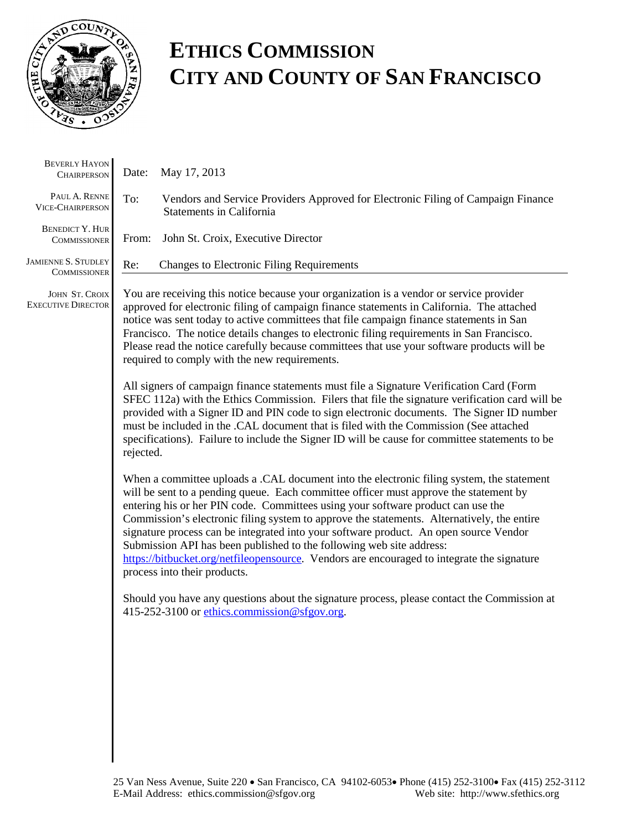

# **ETHICS COMMISSION CITY AND COUNTY OF SAN FRANCISCO**

| <b>BEVERLY HAYON</b><br><b>CHAIRPERSON</b>    | May 17, 2013<br>Date:                                                                                                                                                                                                                                                                                                                                                                                                                                                                                                                                                                                                                                               |  |  |  |  |
|-----------------------------------------------|---------------------------------------------------------------------------------------------------------------------------------------------------------------------------------------------------------------------------------------------------------------------------------------------------------------------------------------------------------------------------------------------------------------------------------------------------------------------------------------------------------------------------------------------------------------------------------------------------------------------------------------------------------------------|--|--|--|--|
| PAUL A. RENNE<br><b>VICE-CHAIRPERSON</b>      | To:<br>Vendors and Service Providers Approved for Electronic Filing of Campaign Finance<br><b>Statements in California</b>                                                                                                                                                                                                                                                                                                                                                                                                                                                                                                                                          |  |  |  |  |
| <b>BENEDICT Y. HUR</b><br><b>COMMISSIONER</b> | From:<br>John St. Croix, Executive Director                                                                                                                                                                                                                                                                                                                                                                                                                                                                                                                                                                                                                         |  |  |  |  |
| JAMIENNE S. STUDLEY<br><b>COMMISSIONER</b>    | <b>Changes to Electronic Filing Requirements</b><br>Re:                                                                                                                                                                                                                                                                                                                                                                                                                                                                                                                                                                                                             |  |  |  |  |
| JOHN ST. CROIX<br><b>EXECUTIVE DIRECTOR</b>   | You are receiving this notice because your organization is a vendor or service provider<br>approved for electronic filing of campaign finance statements in California. The attached<br>notice was sent today to active committees that file campaign finance statements in San<br>Francisco. The notice details changes to electronic filing requirements in San Francisco.<br>Please read the notice carefully because committees that use your software products will be<br>required to comply with the new requirements.                                                                                                                                        |  |  |  |  |
|                                               | All signers of campaign finance statements must file a Signature Verification Card (Form<br>SFEC 112a) with the Ethics Commission. Filers that file the signature verification card will be<br>provided with a Signer ID and PIN code to sign electronic documents. The Signer ID number<br>must be included in the .CAL document that is filed with the Commission (See attached<br>specifications). Failure to include the Signer ID will be cause for committee statements to be<br>rejected.                                                                                                                                                                    |  |  |  |  |
|                                               | When a committee uploads a .CAL document into the electronic filing system, the statement<br>will be sent to a pending queue. Each committee officer must approve the statement by<br>entering his or her PIN code. Committees using your software product can use the<br>Commission's electronic filing system to approve the statements. Alternatively, the entire<br>signature process can be integrated into your software product. An open source Vendor<br>Submission API has been published to the following web site address:<br>https://bitbucket.org/netfileopensource. Vendors are encouraged to integrate the signature<br>process into their products. |  |  |  |  |
|                                               | Should you have any questions about the signature process, please contact the Commission at<br>415-252-3100 or ethics.commission@sfgov.org.                                                                                                                                                                                                                                                                                                                                                                                                                                                                                                                         |  |  |  |  |
|                                               |                                                                                                                                                                                                                                                                                                                                                                                                                                                                                                                                                                                                                                                                     |  |  |  |  |
|                                               |                                                                                                                                                                                                                                                                                                                                                                                                                                                                                                                                                                                                                                                                     |  |  |  |  |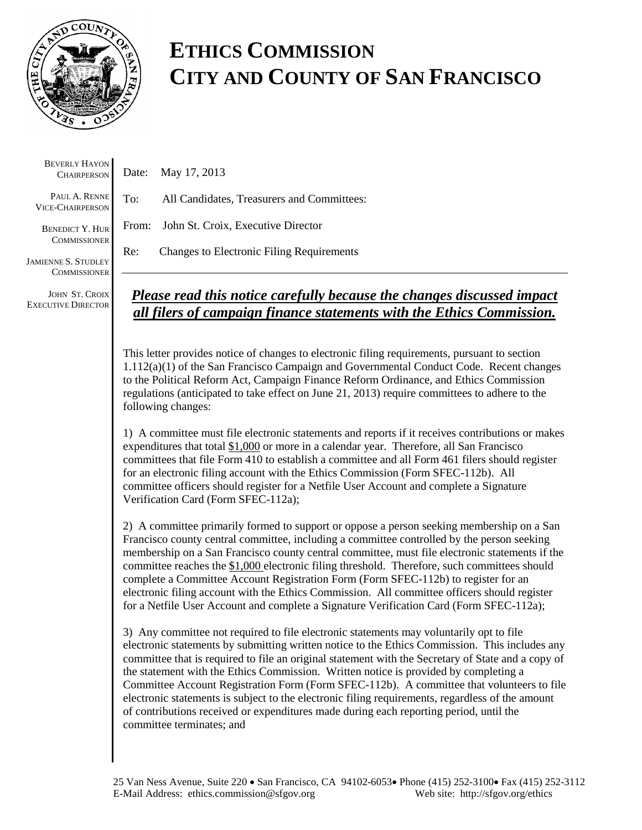

## **ETHICS COMMISSION CITY AND COUNTY OF SAN FRANCISCO**

BEVERLY HAYON **CHAIRPERSON** 

PAUL A. RENNE VICE-CHAIRPERSON

BENEDICT Y. HUR **COMMISSIONER** 

JAMIENNE S. STUDLEY **COMMISSIONER** 

JOHN ST. CROIX EXECUTIVE DIRECTOR

Date: May 17, 2013

To: All Candidates, Treasurers and Committees:

From: John St. Croix, Executive Director

Re: Changes to Electronic Filing Requirements

### *Please read this notice carefully because the changes discussed impact all filers of campaign finance statements with the Ethics Commission.*

This letter provides notice of changes to electronic filing requirements, pursuant to section 1.112(a)(1) of the San Francisco Campaign and Governmental Conduct Code. Recent changes to the Political Reform Act, Campaign Finance Reform Ordinance, and Ethics Commission regulations (anticipated to take effect on June 21, 2013) require committees to adhere to the following changes:

1) A committee must file electronic statements and reports if it receives contributions or makes expenditures that total \$1,000 or more in a calendar year. Therefore, all San Francisco committees that file Form 410 to establish a committee and all Form 461 filers should register for an electronic filing account with the Ethics Commission (Form SFEC-112b). All committee officers should register for a Netfile User Account and complete a Signature Verification Card (Form SFEC-112a);

2) A committee primarily formed to support or oppose a person seeking membership on a San Francisco county central committee, including a committee controlled by the person seeking membership on a San Francisco county central committee, must file electronic statements if the committee reaches the \$1,000 electronic filing threshold. Therefore, such committees should complete a Committee Account Registration Form (Form SFEC-112b) to register for an electronic filing account with the Ethics Commission. All committee officers should register for a Netfile User Account and complete a Signature Verification Card (Form SFEC-112a);

3) Any committee not required to file electronic statements may voluntarily opt to file electronic statements by submitting written notice to the Ethics Commission. This includes any committee that is required to file an original statement with the Secretary of State and a copy of the statement with the Ethics Commission. Written notice is provided by completing a Committee Account Registration Form (Form SFEC-112b). A committee that volunteers to file electronic statements is subject to the electronic filing requirements, regardless of the amount of contributions received or expenditures made during each reporting period, until the committee terminates; and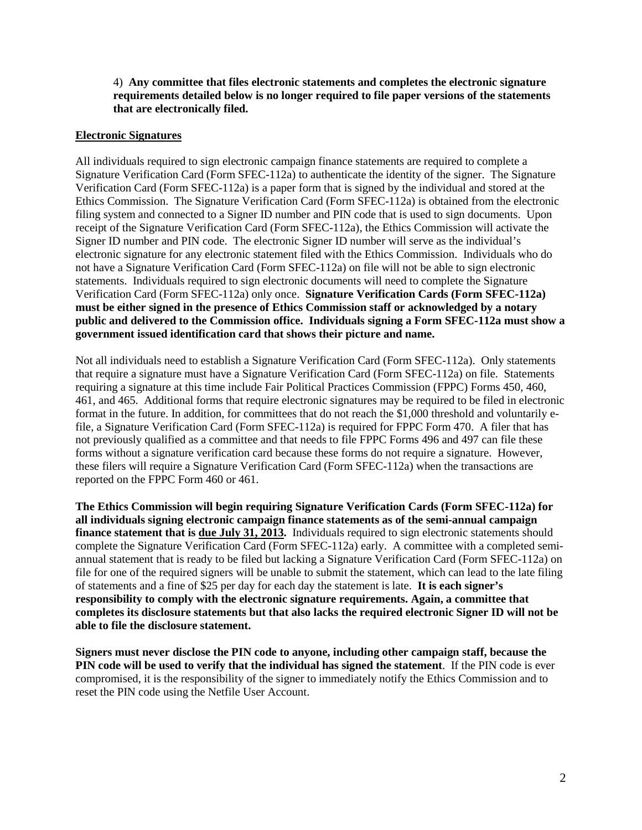4) **Any committee that files electronic statements and completes the electronic signature requirements detailed below is no longer required to file paper versions of the statements that are electronically filed.** 

#### **Electronic Signatures**

All individuals required to sign electronic campaign finance statements are required to complete a Signature Verification Card (Form SFEC-112a) to authenticate the identity of the signer. The Signature Verification Card (Form SFEC-112a) is a paper form that is signed by the individual and stored at the Ethics Commission. The Signature Verification Card (Form SFEC-112a) is obtained from the electronic filing system and connected to a Signer ID number and PIN code that is used to sign documents. Upon receipt of the Signature Verification Card (Form SFEC-112a), the Ethics Commission will activate the Signer ID number and PIN code. The electronic Signer ID number will serve as the individual's electronic signature for any electronic statement filed with the Ethics Commission. Individuals who do not have a Signature Verification Card (Form SFEC-112a) on file will not be able to sign electronic statements. Individuals required to sign electronic documents will need to complete the Signature Verification Card (Form SFEC-112a) only once. **Signature Verification Cards (Form SFEC-112a) must be either signed in the presence of Ethics Commission staff or acknowledged by a notary public and delivered to the Commission office. Individuals signing a Form SFEC-112a must show a government issued identification card that shows their picture and name.**

Not all individuals need to establish a Signature Verification Card (Form SFEC-112a). Only statements that require a signature must have a Signature Verification Card (Form SFEC-112a) on file. Statements requiring a signature at this time include Fair Political Practices Commission (FPPC) Forms 450, 460, 461, and 465. Additional forms that require electronic signatures may be required to be filed in electronic format in the future. In addition, for committees that do not reach the \$1,000 threshold and voluntarily efile, a Signature Verification Card (Form SFEC-112a) is required for FPPC Form 470. A filer that has not previously qualified as a committee and that needs to file FPPC Forms 496 and 497 can file these forms without a signature verification card because these forms do not require a signature. However, these filers will require a Signature Verification Card (Form SFEC-112a) when the transactions are reported on the FPPC Form 460 or 461.

**The Ethics Commission will begin requiring Signature Verification Cards (Form SFEC-112a) for all individuals signing electronic campaign finance statements as of the semi-annual campaign finance statement that is due July 31, 2013.** Individuals required to sign electronic statements should complete the Signature Verification Card (Form SFEC-112a) early. A committee with a completed semiannual statement that is ready to be filed but lacking a Signature Verification Card (Form SFEC-112a) on file for one of the required signers will be unable to submit the statement, which can lead to the late filing of statements and a fine of \$25 per day for each day the statement is late. **It is each signer's responsibility to comply with the electronic signature requirements. Again, a committee that completes its disclosure statements but that also lacks the required electronic Signer ID will not be able to file the disclosure statement.** 

**Signers must never disclose the PIN code to anyone, including other campaign staff, because the PIN code will be used to verify that the individual has signed the statement**. If the PIN code is ever compromised, it is the responsibility of the signer to immediately notify the Ethics Commission and to reset the PIN code using the Netfile User Account.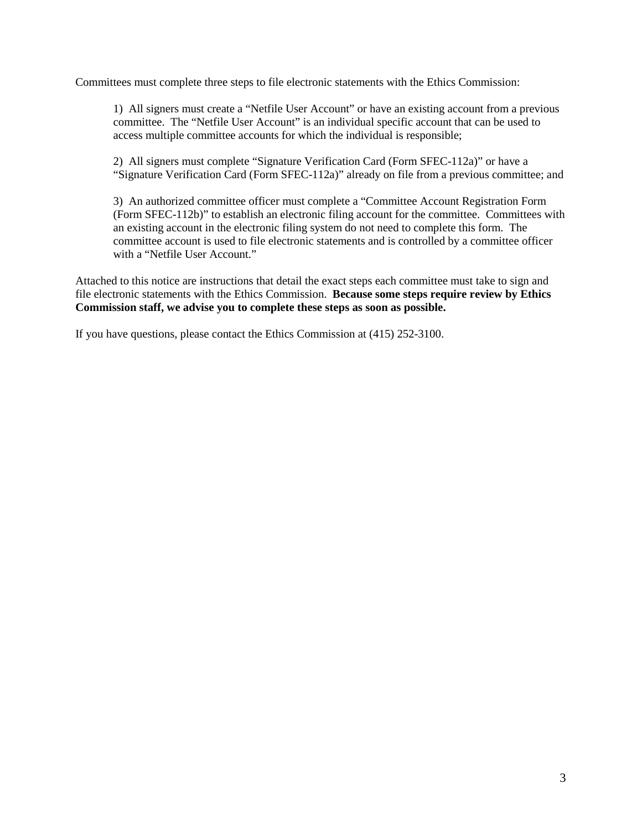Committees must complete three steps to file electronic statements with the Ethics Commission:

1) All signers must create a "Netfile User Account" or have an existing account from a previous committee. The "Netfile User Account" is an individual specific account that can be used to access multiple committee accounts for which the individual is responsible;

2) All signers must complete "Signature Verification Card (Form SFEC-112a)" or have a "Signature Verification Card (Form SFEC-112a)" already on file from a previous committee; and

3) An authorized committee officer must complete a "Committee Account Registration Form (Form SFEC-112b)" to establish an electronic filing account for the committee. Committees with an existing account in the electronic filing system do not need to complete this form. The committee account is used to file electronic statements and is controlled by a committee officer with a "Netfile User Account."

Attached to this notice are instructions that detail the exact steps each committee must take to sign and file electronic statements with the Ethics Commission. **Because some steps require review by Ethics Commission staff, we advise you to complete these steps as soon as possible.**

If you have questions, please contact the Ethics Commission at (415) 252-3100.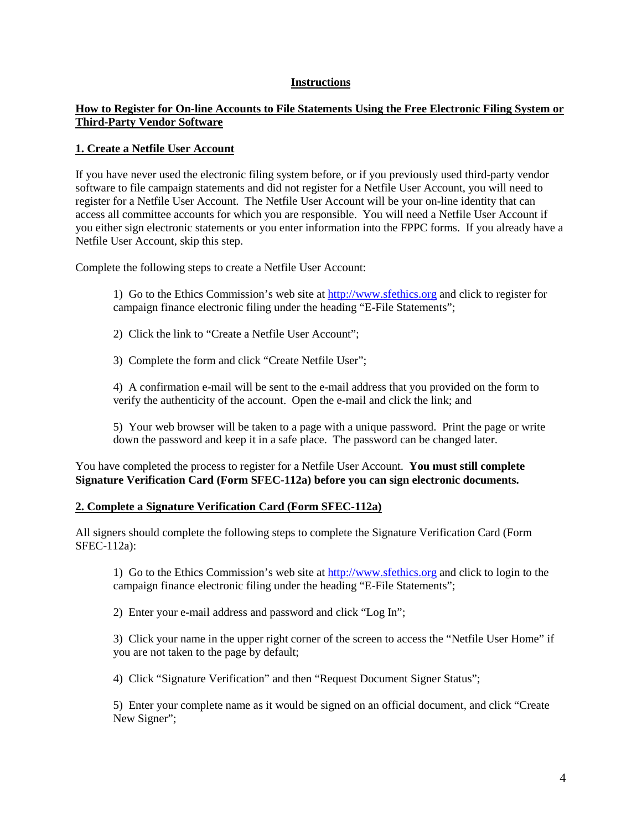#### **Instructions**

#### **How to Register for On-line Accounts to File Statements Using the Free Electronic Filing System or Third-Party Vendor Software**

#### **1. Create a Netfile User Account**

If you have never used the electronic filing system before, or if you previously used third-party vendor software to file campaign statements and did not register for a Netfile User Account, you will need to register for a Netfile User Account. The Netfile User Account will be your on-line identity that can access all committee accounts for which you are responsible. You will need a Netfile User Account if you either sign electronic statements or you enter information into the FPPC forms. If you already have a Netfile User Account, skip this step.

Complete the following steps to create a Netfile User Account:

1) Go to the Ethics Commission's web site a[t http://www.sfethics.org](http://www.sfethics.org/) and click to register for campaign finance electronic filing under the heading "E-File Statements";

2) Click the link to "Create a Netfile User Account";

3) Complete the form and click "Create Netfile User";

4) A confirmation e-mail will be sent to the e-mail address that you provided on the form to verify the authenticity of the account. Open the e-mail and click the link; and

5) Your web browser will be taken to a page with a unique password. Print the page or write down the password and keep it in a safe place. The password can be changed later.

You have completed the process to register for a Netfile User Account. **You must still complete Signature Verification Card (Form SFEC-112a) before you can sign electronic documents.**

#### **2. Complete a Signature Verification Card (Form SFEC-112a)**

All signers should complete the following steps to complete the Signature Verification Card (Form SFEC-112a):

1) Go to the Ethics Commission's web site a[t http://www.sfethics.org](http://www.sfethics.org/) and click to login to the campaign finance electronic filing under the heading "E-File Statements";

2) Enter your e-mail address and password and click "Log In";

3) Click your name in the upper right corner of the screen to access the "Netfile User Home" if you are not taken to the page by default;

4) Click "Signature Verification" and then "Request Document Signer Status";

5) Enter your complete name as it would be signed on an official document, and click "Create New Signer";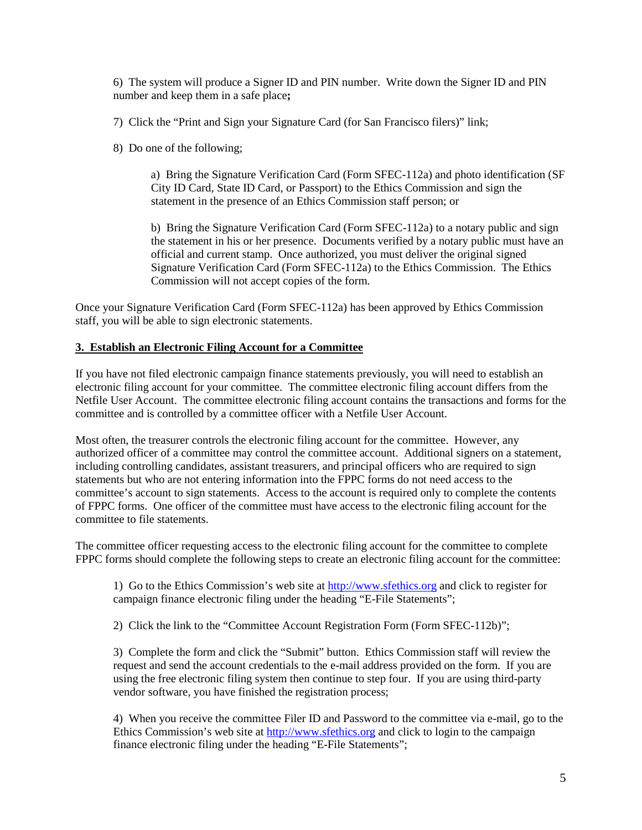6) The system will produce a Signer ID and PIN number. Write down the Signer ID and PIN number and keep them in a safe place**;**

7) Click the "Print and Sign your Signature Card (for San Francisco filers)" link;

8) Do one of the following;

a) Bring the Signature Verification Card (Form SFEC-112a) and photo identification (SF City ID Card, State ID Card, or Passport) to the Ethics Commission and sign the statement in the presence of an Ethics Commission staff person; or

b) Bring the Signature Verification Card (Form SFEC-112a) to a notary public and sign the statement in his or her presence. Documents verified by a notary public must have an official and current stamp. Once authorized, you must deliver the original signed Signature Verification Card (Form SFEC-112a) to the Ethics Commission. The Ethics Commission will not accept copies of the form.

Once your Signature Verification Card (Form SFEC-112a) has been approved by Ethics Commission staff, you will be able to sign electronic statements.

#### **3. Establish an Electronic Filing Account for a Committee**

If you have not filed electronic campaign finance statements previously, you will need to establish an electronic filing account for your committee. The committee electronic filing account differs from the Netfile User Account. The committee electronic filing account contains the transactions and forms for the committee and is controlled by a committee officer with a Netfile User Account.

Most often, the treasurer controls the electronic filing account for the committee. However, any authorized officer of a committee may control the committee account. Additional signers on a statement, including controlling candidates, assistant treasurers, and principal officers who are required to sign statements but who are not entering information into the FPPC forms do not need access to the committee's account to sign statements. Access to the account is required only to complete the contents of FPPC forms. One officer of the committee must have access to the electronic filing account for the committee to file statements.

The committee officer requesting access to the electronic filing account for the committee to complete FPPC forms should complete the following steps to create an electronic filing account for the committee:

1) Go to the Ethics Commission's web site a[t http://www.sfethics.org](http://www.sfethics.org/) and click to register for campaign finance electronic filing under the heading "E-File Statements";

2) Click the link to the "Committee Account Registration Form (Form SFEC-112b)";

3) Complete the form and click the "Submit" button. Ethics Commission staff will review the request and send the account credentials to the e-mail address provided on the form. If you are using the free electronic filing system then continue to step four. If you are using third-party vendor software, you have finished the registration process;

4) When you receive the committee Filer ID and Password to the committee via e-mail, go to the Ethics Commission's web site at [http://www.sfethics.org](http://www.sfethics.org/) and click to login to the campaign finance electronic filing under the heading "E-File Statements";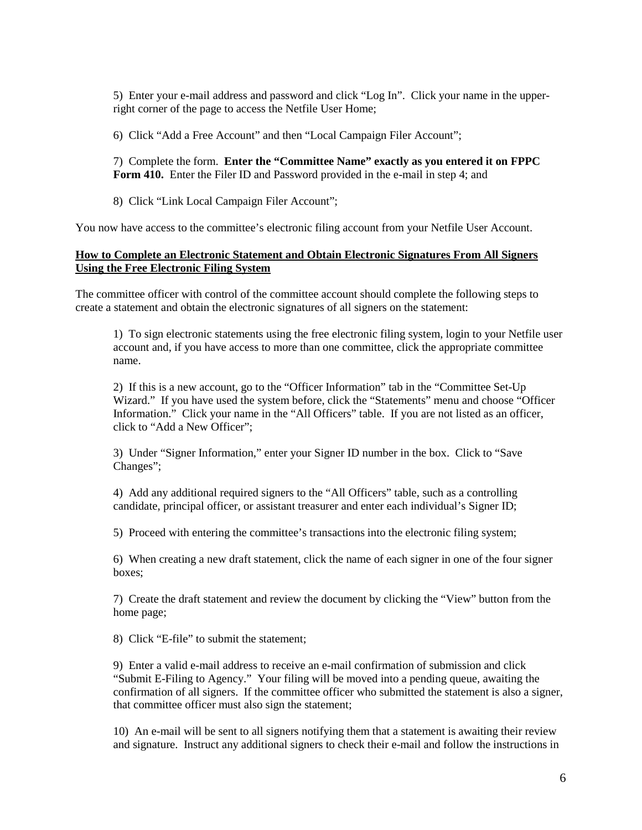5) Enter your e-mail address and password and click "Log In". Click your name in the upperright corner of the page to access the Netfile User Home;

6) Click "Add a Free Account" and then "Local Campaign Filer Account";

7) Complete the form. **Enter the "Committee Name" exactly as you entered it on FPPC Form 410.** Enter the Filer ID and Password provided in the e-mail in step 4; and

8) Click "Link Local Campaign Filer Account";

You now have access to the committee's electronic filing account from your Netfile User Account.

#### **How to Complete an Electronic Statement and Obtain Electronic Signatures From All Signers Using the Free Electronic Filing System**

The committee officer with control of the committee account should complete the following steps to create a statement and obtain the electronic signatures of all signers on the statement:

1) To sign electronic statements using the free electronic filing system, login to your Netfile user account and, if you have access to more than one committee, click the appropriate committee name.

2) If this is a new account, go to the "Officer Information" tab in the "Committee Set-Up Wizard." If you have used the system before, click the "Statements" menu and choose "Officer Information." Click your name in the "All Officers" table. If you are not listed as an officer, click to "Add a New Officer";

3) Under "Signer Information," enter your Signer ID number in the box. Click to "Save Changes";

4) Add any additional required signers to the "All Officers" table, such as a controlling candidate, principal officer, or assistant treasurer and enter each individual's Signer ID;

5) Proceed with entering the committee's transactions into the electronic filing system;

6) When creating a new draft statement, click the name of each signer in one of the four signer boxes;

7) Create the draft statement and review the document by clicking the "View" button from the home page;

8) Click "E-file" to submit the statement;

9) Enter a valid e-mail address to receive an e-mail confirmation of submission and click "Submit E-Filing to Agency." Your filing will be moved into a pending queue, awaiting the confirmation of all signers. If the committee officer who submitted the statement is also a signer, that committee officer must also sign the statement;

10) An e-mail will be sent to all signers notifying them that a statement is awaiting their review and signature. Instruct any additional signers to check their e-mail and follow the instructions in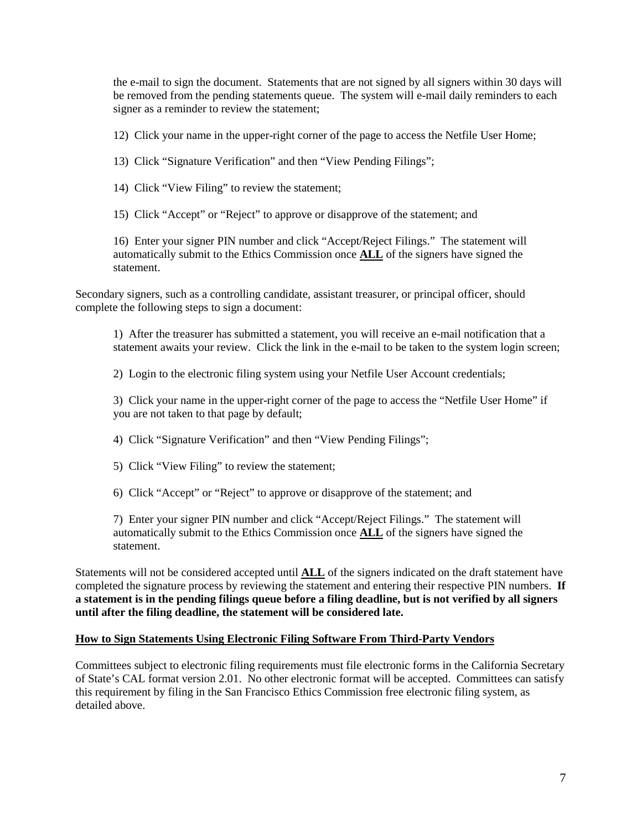the e-mail to sign the document. Statements that are not signed by all signers within 30 days will be removed from the pending statements queue. The system will e-mail daily reminders to each signer as a reminder to review the statement;

12) Click your name in the upper-right corner of the page to access the Netfile User Home;

13) Click "Signature Verification" and then "View Pending Filings";

14) Click "View Filing" to review the statement;

15) Click "Accept" or "Reject" to approve or disapprove of the statement; and

16) Enter your signer PIN number and click "Accept/Reject Filings." The statement will automatically submit to the Ethics Commission once **ALL** of the signers have signed the statement.

Secondary signers, such as a controlling candidate, assistant treasurer, or principal officer, should complete the following steps to sign a document:

1) After the treasurer has submitted a statement, you will receive an e-mail notification that a statement awaits your review. Click the link in the e-mail to be taken to the system login screen;

2) Login to the electronic filing system using your Netfile User Account credentials;

3) Click your name in the upper-right corner of the page to access the "Netfile User Home" if you are not taken to that page by default;

4) Click "Signature Verification" and then "View Pending Filings";

5) Click "View Filing" to review the statement;

6) Click "Accept" or "Reject" to approve or disapprove of the statement; and

7) Enter your signer PIN number and click "Accept/Reject Filings." The statement will automatically submit to the Ethics Commission once **ALL** of the signers have signed the statement.

Statements will not be considered accepted until **ALL** of the signers indicated on the draft statement have completed the signature process by reviewing the statement and entering their respective PIN numbers. **If a statement is in the pending filings queue before a filing deadline, but is not verified by all signers until after the filing deadline, the statement will be considered late.**

#### **How to Sign Statements Using Electronic Filing Software From Third-Party Vendors**

Committees subject to electronic filing requirements must file electronic forms in the California Secretary of State's CAL format version 2.01. No other electronic format will be accepted. Committees can satisfy this requirement by filing in the San Francisco Ethics Commission free electronic filing system, as detailed above.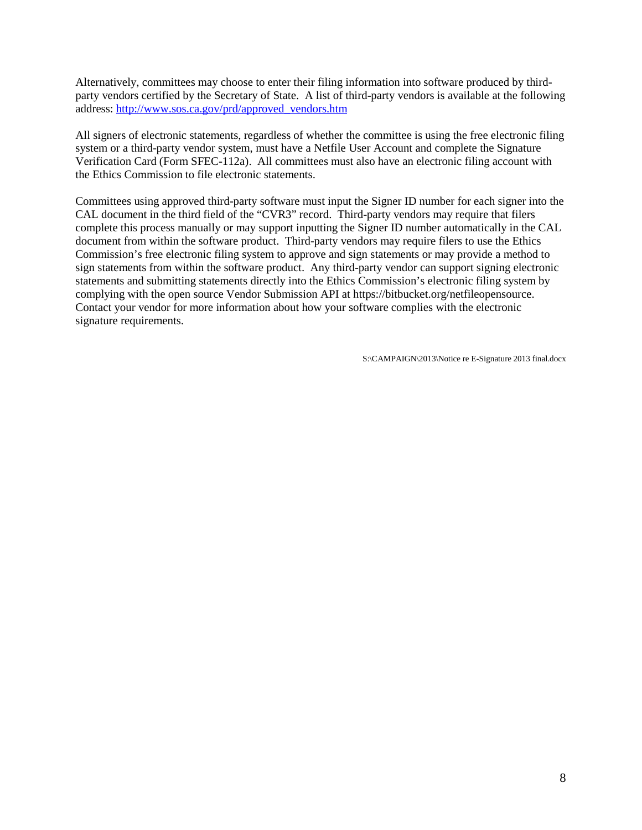Alternatively, committees may choose to enter their filing information into software produced by thirdparty vendors certified by the Secretary of State. A list of third-party vendors is available at the following address: [http://www.sos.ca.gov/prd/approved\\_vendors.htm](http://www.sos.ca.gov/prd/approved_vendors.htm)

All signers of electronic statements, regardless of whether the committee is using the free electronic filing system or a third-party vendor system, must have a Netfile User Account and complete the Signature Verification Card (Form SFEC-112a). All committees must also have an electronic filing account with the Ethics Commission to file electronic statements.

Committees using approved third-party software must input the Signer ID number for each signer into the CAL document in the third field of the "CVR3" record. Third-party vendors may require that filers complete this process manually or may support inputting the Signer ID number automatically in the CAL document from within the software product. Third-party vendors may require filers to use the Ethics Commission's free electronic filing system to approve and sign statements or may provide a method to sign statements from within the software product. Any third-party vendor can support signing electronic statements and submitting statements directly into the Ethics Commission's electronic filing system by complying with the open source Vendor Submission API at https://bitbucket.org/netfileopensource. Contact your vendor for more information about how your software complies with the electronic signature requirements.

S:\CAMPAIGN\2013\Notice re E-Signature 2013 final.docx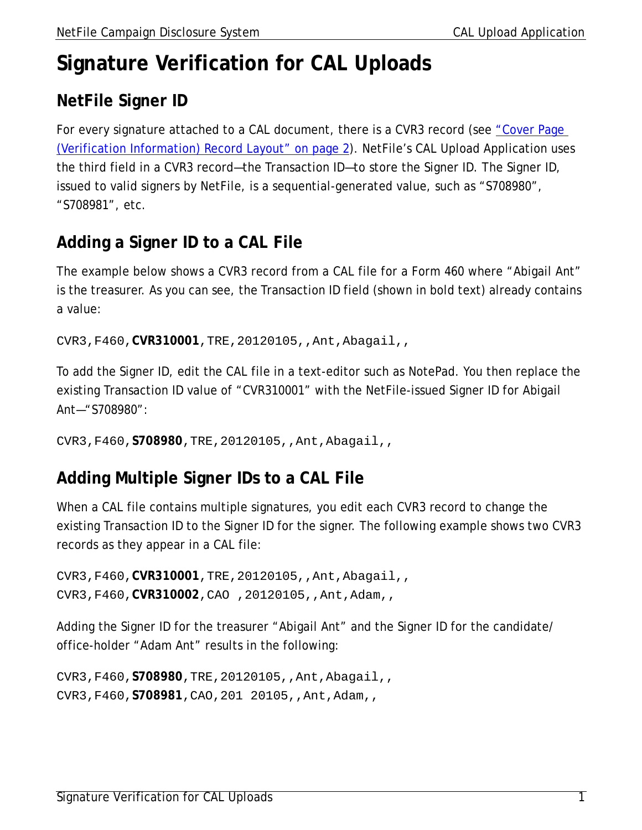# **Signature Verification for CAL Uploads**

## **NetFile Signer ID**

For every signature attached to a CAL document, there is a CVR3 record (see "Cover Page [\(Verification Information\) Record Layout" on page](#page-10-0) 2). NetFile's CAL Upload Application uses the third field in a CVR3 record—the Transaction ID—to store the Signer ID. The Signer ID, issued to valid signers by NetFile, is a sequential-generated value, such as "S708980", "S708981", etc.

### **Adding a Signer ID to a CAL File**

The example below shows a CVR3 record from a CAL file for a Form 460 where "Abigail Ant" is the treasurer. As you can see, the Transaction ID field (shown in bold text) already contains a value:

CVR3,F460,**CVR310001**,TRE,20120105,,Ant,Abagail,,

To add the Signer ID, edit the CAL file in a text-editor such as NotePad. You then replace the existing Transaction ID value of "CVR310001" with the NetFile-issued Signer ID for Abigail Ant—"S708980":

CVR3,F460,**S708980**,TRE,20120105,,Ant,Abagail,,

### **Adding Multiple Signer IDs to a CAL File**

When a CAL file contains multiple signatures, you edit each CVR3 record to change the existing Transaction ID to the Signer ID for the signer. The following example shows two CVR3 records as they appear in a CAL file:

```
CVR3,F460,CVR310001,TRE,20120105,,Ant,Abagail,,
CVR3,F460,CVR310002,CAO ,20120105,,Ant,Adam,,
```
Adding the Signer ID for the treasurer "Abigail Ant" and the Signer ID for the candidate/ office-holder "Adam Ant" results in the following:

CVR3,F460,**S708980**,TRE,20120105,,Ant,Abagail,, CVR3,F460,**S708981**,CAO,201 20105,,Ant,Adam,,